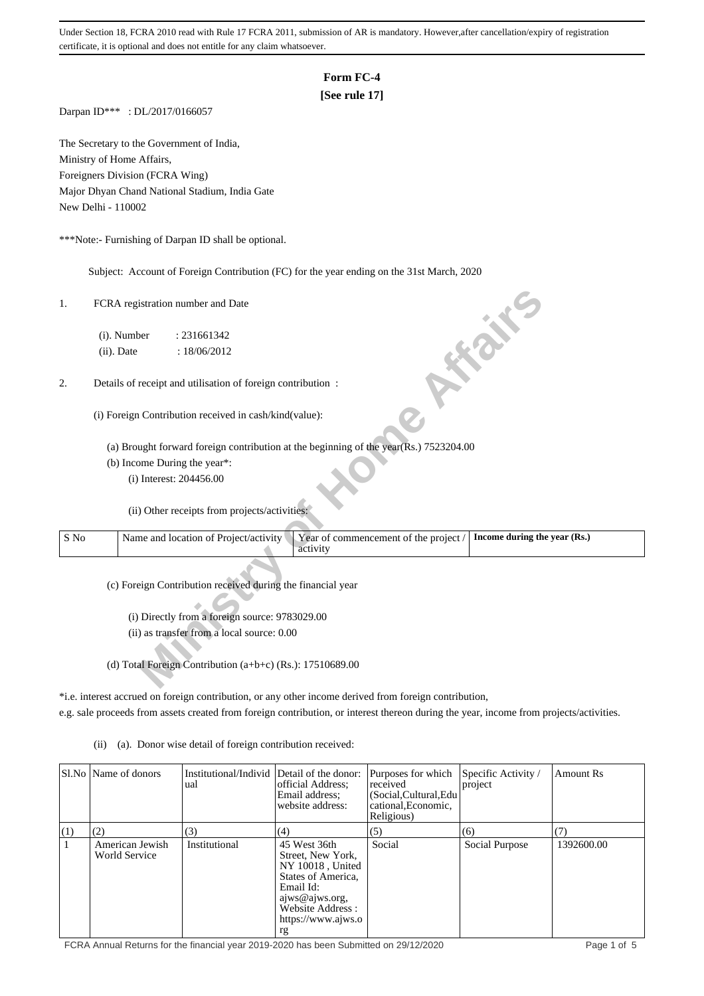# **Form FC-4**

# **[See rule 17]**

Darpan ID\*\*\* : DL/2017/0166057

The Secretary to the Government of India, Ministry of Home Affairs, Foreigners Division (FCRA Wing) Major Dhyan Chand National Stadium, India Gate New Delhi - 110002

\*\*\*Note:- Furnishing of Darpan ID shall be optional.

Subject: Account of Foreign Contribution (FC) for the year ending on the 31st March, 2020

| 1.   | FCRA registration number and Date<br>ish.                                                                                  |
|------|----------------------------------------------------------------------------------------------------------------------------|
|      | (i). Number<br>: 231661342                                                                                                 |
|      | (ii). Date<br>: 18/06/2012                                                                                                 |
| 2.   | Details of receipt and utilisation of foreign contribution :                                                               |
|      | (i) Foreign Contribution received in cash/kind(value):                                                                     |
|      | (a) Brought forward foreign contribution at the beginning of the year(Rs.) 7523204.00                                      |
|      | (b) Income During the year*:                                                                                               |
|      | (i) Interest: 204456.00                                                                                                    |
|      | (ii) Other receipts from projects/activities:                                                                              |
| S No | Year of commencement of the project /<br>Name and location of Project/activity<br>Income during the year (Rs.)<br>activity |
|      | (c) Foreign Contribution received during the financial year                                                                |
|      | (i) Directly from a foreign source: 9783029.00                                                                             |
|      | (ii) as transfer from a local source: 0.00                                                                                 |
|      |                                                                                                                            |
|      | (d) Total Foreign Contribution (a+b+c) (Rs.): $17510689.00$                                                                |

\*i.e. interest accrued on foreign contribution, or any other income derived from foreign contribution,

e.g. sale proceeds from assets created from foreign contribution, or interest thereon during the year, income from projects/activities.

(ii) (a). Donor wise detail of foreign contribution received:

|            | SI.No   Name of donors                  | Institutional/Individ Detail of the donor:<br>ual | official Address:<br>Email address:<br>website address:                                                                                                    | Purposes for which<br>received<br>(Social, Cultural, Edu<br>cational, Economic,<br>Religious) | Specific Activity /<br>project | <b>Amount Rs</b> |
|------------|-----------------------------------------|---------------------------------------------------|------------------------------------------------------------------------------------------------------------------------------------------------------------|-----------------------------------------------------------------------------------------------|--------------------------------|------------------|
| $\vert(1)$ | (2)                                     | (3)                                               | (4)                                                                                                                                                        | (5)                                                                                           | (6)                            |                  |
|            | American Jewish<br><b>World Service</b> | Institutional                                     | 45 West 36th<br>Street, New York,<br>NY 10018, United<br>States of America.<br>Email Id:<br>ajws@ajws.org,<br>Website Address:<br>https://www.ajws.o<br>rg | Social                                                                                        | Social Purpose                 | 1392600.00       |

FCRA Annual Returns for the financial year 2019-2020 has been Submitted on 29/12/2020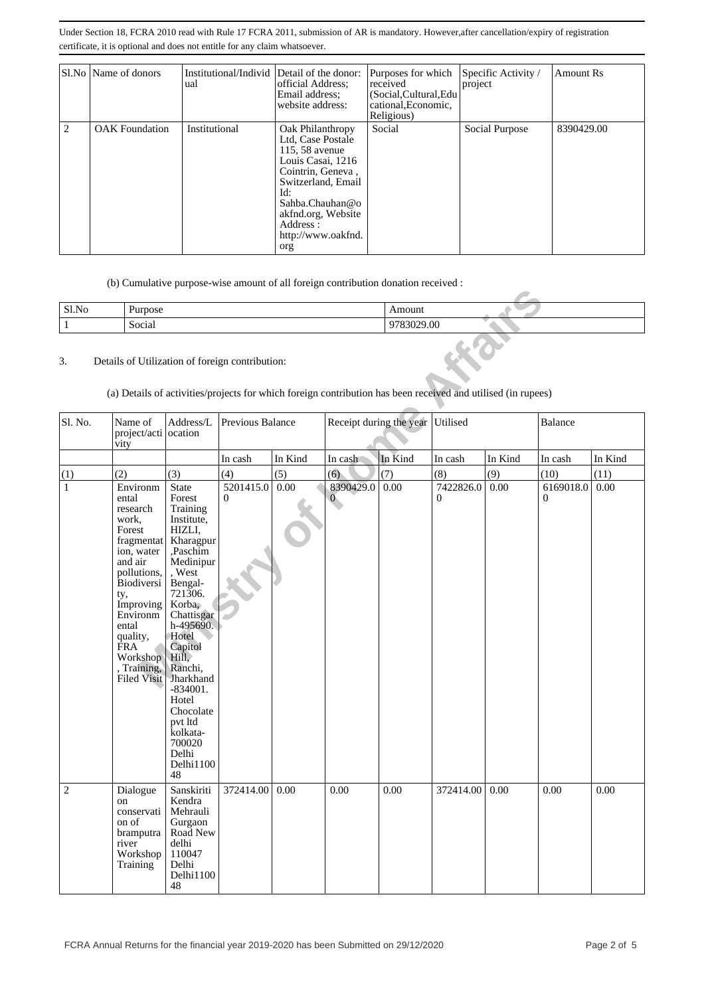|   | Sl.No   Name of donors | Institutional/Individ Detail of the donor:<br>ual | official Address:<br>Email address:<br>website address:                                                                                                                                                          | Purposes for which<br>received<br>(Social, Cultural, Edu<br>cational, Economic,<br>Religious) | Specific Activity /<br>project | Amount Rs  |
|---|------------------------|---------------------------------------------------|------------------------------------------------------------------------------------------------------------------------------------------------------------------------------------------------------------------|-----------------------------------------------------------------------------------------------|--------------------------------|------------|
| 2 | <b>OAK</b> Foundation  | Institutional                                     | Oak Philanthropy<br>Ltd, Case Postale<br>115, 58 avenue<br>Louis Casai, 1216<br>Cointrin, Geneva,<br>Switzerland, Email<br>Id:<br>Sahba.Chauhan@o<br>akfnd.org, Website<br>Address:<br>http://www.oakfnd.<br>org | Social                                                                                        | Social Purpose                 | 8390429.00 |

(b) Cumulative purpose-wise amount of all foreign contribution donation received :

| Sl.No | Purpose                                                                                                      | Amount     |
|-------|--------------------------------------------------------------------------------------------------------------|------------|
|       | Social                                                                                                       | 9783029.00 |
| 3.    | Details of Utilization of foreign contribution:                                                              |            |
|       | (a) Details of activities/projects for which foreign contribution has been received and utilised (in rupees) |            |

| S1.No          | Purpose                                                                                                                                                                                                                                         |                                                                                                                                                                                                                                                                                                                             |                  |         |                           | Amount     |                       |         |                       |         |
|----------------|-------------------------------------------------------------------------------------------------------------------------------------------------------------------------------------------------------------------------------------------------|-----------------------------------------------------------------------------------------------------------------------------------------------------------------------------------------------------------------------------------------------------------------------------------------------------------------------------|------------------|---------|---------------------------|------------|-----------------------|---------|-----------------------|---------|
| $\,1\,$        | Social                                                                                                                                                                                                                                          |                                                                                                                                                                                                                                                                                                                             |                  |         |                           | 9783029.00 |                       |         |                       |         |
| 3.             | Details of Utilization of foreign contribution:<br>(a) Details of activities/projects for which foreign contribution has been received and utilised (in rupees)                                                                                 |                                                                                                                                                                                                                                                                                                                             |                  |         |                           |            |                       |         |                       |         |
| Sl. No.        | Name of<br>project/acti ocation<br>vity                                                                                                                                                                                                         | Address/L                                                                                                                                                                                                                                                                                                                   | Previous Balance |         | Receipt during the year   |            | Utilised              |         | Balance               |         |
|                |                                                                                                                                                                                                                                                 |                                                                                                                                                                                                                                                                                                                             | In cash          | In Kind | In cash                   | In Kind    | In cash               | In Kind | In cash               | In Kind |
| (1)            | (2)                                                                                                                                                                                                                                             | (3)                                                                                                                                                                                                                                                                                                                         | (4)              | (5)     | (6)                       | (7)        | (8)                   | (9)     | (10)                  | (11)    |
| $\mathbf{1}$   | Environm<br>ental<br>research<br>work.<br>Forest<br>fragmentat<br>ion, water<br>and air<br>pollutions,<br><b>Biodiversi</b><br>ty,<br>Improving<br>Environm<br>ental<br>quality,<br><b>FRA</b><br>Workshop<br>, Training,<br><b>Filed Visit</b> | <b>State</b><br>Forest<br>Training<br>Institute.<br>HIZLI,<br>Kharagpur<br>,Paschim<br>Medinipur<br>, West<br>Bengal-<br>721306.<br>Korba,<br>Chattisgar<br>h-495690.<br>Hotel<br>Capitol<br>Hill,<br>Ranchi,<br>Jharkhand<br>$-834001.$<br>Hotel<br>Chocolate<br>pvt ltd<br>kolkata-<br>700020<br>Delhi<br>Delhi1100<br>48 | 5201415.0<br>0   | 0.00    | 8390429.0<br>$\mathbf{0}$ | 0.00       | 7422826.0<br>$\Omega$ | 0.00    | 6169018.0<br>$\Omega$ | 0.00    |
| $\overline{c}$ | Dialogue<br>on<br>conservati<br>on of<br>bramputra<br>river<br>Workshop<br>Training                                                                                                                                                             | Sanskiriti<br>Kendra<br>Mehrauli<br>Gurgaon<br>Road New<br>delhi<br>110047<br>Delhi<br>Delhi1100<br>48                                                                                                                                                                                                                      | 372414.00        | 0.00    | 0.00                      | 0.00       | 372414.00             | 0.00    | 0.00                  | 0.00    |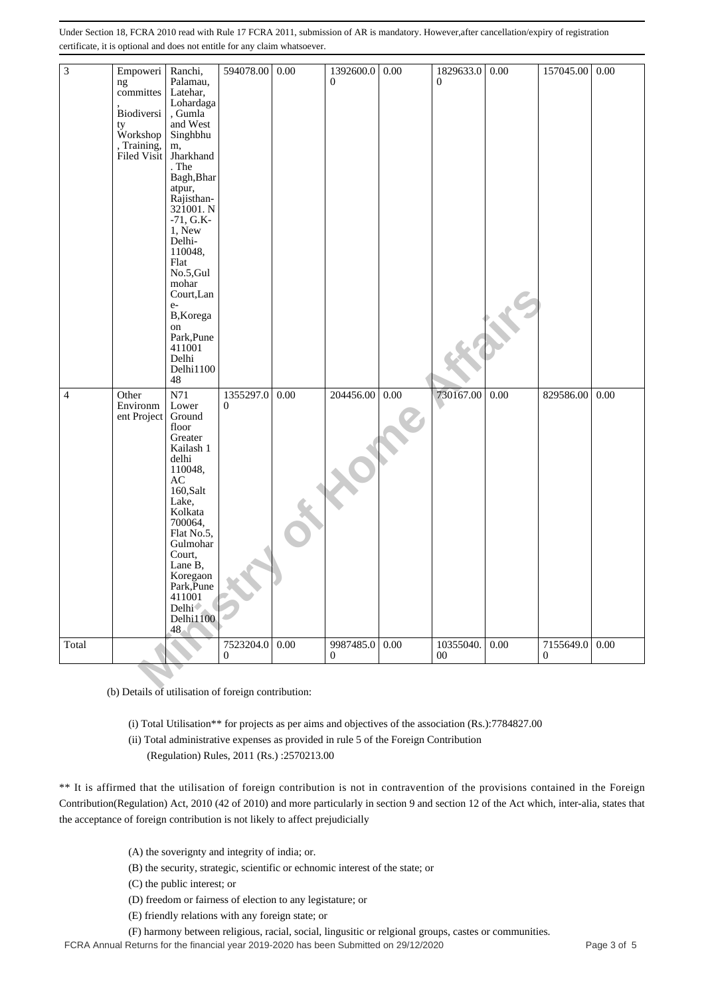| $\mathfrak{Z}$ | Empoweri   Ranchi,<br>ng<br>committes<br>Biodiversi<br>ty<br>Workshop<br>, Training,<br>Filed Visit | Palamau,<br>Latehar,<br>Lohardaga<br>, Gumla<br>and West<br>Singhbhu<br>m,<br>Jharkhand<br>. The<br>Bagh, Bhar<br>atpur,<br>Rajisthan-<br>321001. N<br>$-71, G.K-$<br>1, New<br>Delhi-<br>110048,<br>Flat<br>No.5, Gul<br>mohar<br>Court, Lan<br>$e-$<br>B, Korega<br>on<br>Park, Pune<br>411001<br>Delhi<br>Delhi1100<br>48 | 594078.00                                                                                                                                                                                                                                          | 0.00 | 1392600.0<br>$\Omega$     | 0.00 | 1829633.0<br>$\Omega$                                                                                                                       | 0.00 | 157045.00             | 0.00 |
|----------------|-----------------------------------------------------------------------------------------------------|------------------------------------------------------------------------------------------------------------------------------------------------------------------------------------------------------------------------------------------------------------------------------------------------------------------------------|----------------------------------------------------------------------------------------------------------------------------------------------------------------------------------------------------------------------------------------------------|------|---------------------------|------|---------------------------------------------------------------------------------------------------------------------------------------------|------|-----------------------|------|
| 4              | Other<br>Environm<br>ent Project                                                                    | N71<br>Lower<br>Ground<br>floor<br>Greater<br>Kailash 1<br>delhi<br>110048,<br>AC<br>160,Salt<br>Lake,<br>Kolkata<br>700064,<br>Flat No.5,<br>Gulmohar<br>Court.<br>Lane B,<br>Koregaon<br>Park, Pune<br>411001<br>Delhi <sup>-</sup><br>Delhi1100<br>48.                                                                    | 1355297.0<br>0                                                                                                                                                                                                                                     | 0.00 | 204456.00                 | 0.00 | 730167.00                                                                                                                                   | 0.00 | 829586.00             | 0.00 |
| Total          |                                                                                                     |                                                                                                                                                                                                                                                                                                                              | 7523204.0<br>0                                                                                                                                                                                                                                     | 0.00 | 9987485.0<br>$\mathbf{0}$ | 0.00 | 10355040.<br>00                                                                                                                             | 0.00 | 7155649.0<br>$\bf{0}$ | 0.00 |
|                |                                                                                                     |                                                                                                                                                                                                                                                                                                                              | (b) Details of utilisation of foreign contribution:                                                                                                                                                                                                |      |                           |      |                                                                                                                                             |      |                       |      |
|                |                                                                                                     |                                                                                                                                                                                                                                                                                                                              | (ii) Total administrative expenses as provided in rule 5 of the Foreign Contribution<br>(Regulation) Rules, 2011 (Rs.):2570213.00                                                                                                                  |      |                           |      | (i) Total Utilisation** for projects as per aims and objectives of the association (Rs.):7784827.00                                         |      |                       |      |
|                |                                                                                                     |                                                                                                                                                                                                                                                                                                                              |                                                                                                                                                                                                                                                    |      |                           |      | ** It is affirmed that the utilisation of foreign contribution is not in contravention of the provisions contained in the Foreign           |      |                       |      |
|                |                                                                                                     |                                                                                                                                                                                                                                                                                                                              | the acceptance of foreign contribution is not likely to affect prejudicially                                                                                                                                                                       |      |                           |      | Contribution(Regulation) Act, 2010 (42 of 2010) and more particularly in section 9 and section 12 of the Act which, inter-alia, states that |      |                       |      |
|                |                                                                                                     |                                                                                                                                                                                                                                                                                                                              |                                                                                                                                                                                                                                                    |      |                           |      |                                                                                                                                             |      |                       |      |
|                |                                                                                                     | (C) the public interest; or                                                                                                                                                                                                                                                                                                  | (A) the soverignty and integrity of india; or.<br>(B) the security, strategic, scientific or echnomic interest of the state; or<br>(D) freedom or fairness of election to any legistature; or<br>(E) friendly relations with any foreign state; or |      |                           |      |                                                                                                                                             |      |                       |      |
|                |                                                                                                     |                                                                                                                                                                                                                                                                                                                              | (F) harmony between religious, racial, social, lingusitic or relgional groups, castes or communities.                                                                                                                                              |      |                           |      |                                                                                                                                             |      |                       |      |

FCRA Annual Returns for the financial year 2019-2020 has been Submitted on 29/12/2020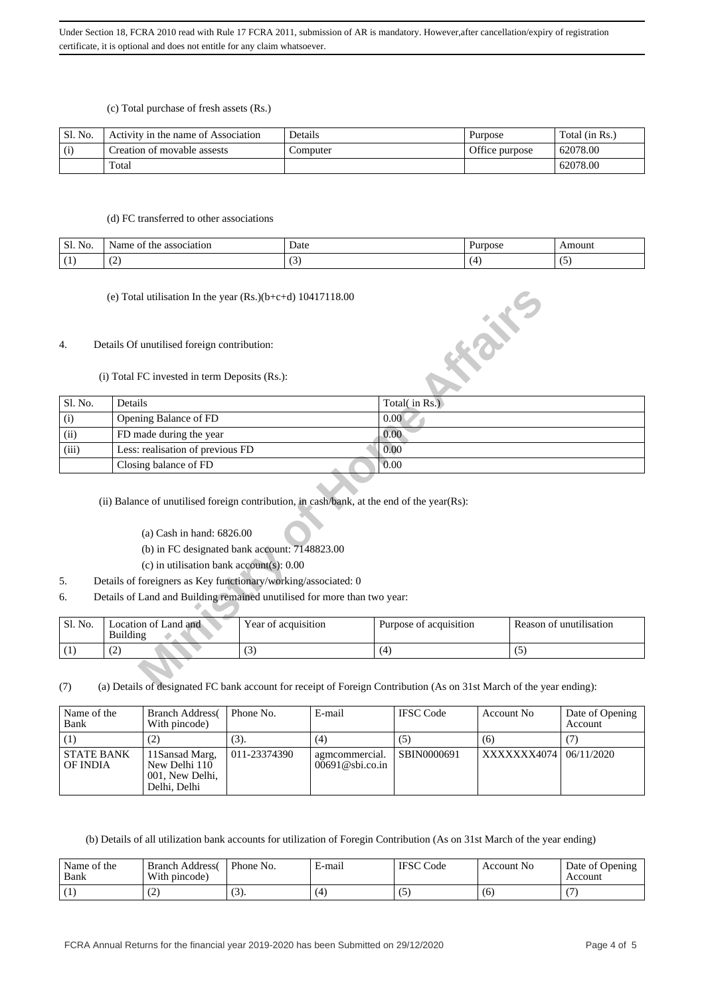(c) Total purchase of fresh assets (Rs.)

| Sl. No. | Activity in the name of Association | Details  | Purpose        | Total (in Rs.) |
|---------|-------------------------------------|----------|----------------|----------------|
| (i)     | Creation of movable assests         | Computer | Office purpose | 62078.00       |
|         | Total                               |          |                | 62078.00       |

### (d) FC transferred to other associations

| Sl.<br>$\mathbf{r}$<br>No. | Name.<br>ОĪ<br>association<br>the | Date   | Purpose | <b>mount</b> |
|----------------------------|-----------------------------------|--------|---------|--------------|
| $\sim$ $\sim$              | $\sqrt{2}$                        | $\sim$ |         | ۔ ۔          |
| . .                        | . .                               | ຼ      |         |              |

## 4. Details Of unutilised foreign contribution:

|                  | (e) Total utilisation In the year $(Rs.)(b+c+d)$ 10417118.00                                                                                                                                                                            |                                               |                                                                                                                      |                         |
|------------------|-----------------------------------------------------------------------------------------------------------------------------------------------------------------------------------------------------------------------------------------|-----------------------------------------------|----------------------------------------------------------------------------------------------------------------------|-------------------------|
| $\overline{4}$ . | Details Of unutilised foreign contribution:                                                                                                                                                                                             |                                               | <b>HONE</b>                                                                                                          |                         |
|                  | (i) Total FC invested in term Deposits (Rs.):                                                                                                                                                                                           |                                               |                                                                                                                      |                         |
| Sl. No.          | Details                                                                                                                                                                                                                                 |                                               | Total(in Rs.)                                                                                                        |                         |
| (i)              | Opening Balance of FD                                                                                                                                                                                                                   |                                               | 0.00                                                                                                                 |                         |
| (ii)             | FD made during the year                                                                                                                                                                                                                 |                                               | $0.00^{\circ}$                                                                                                       |                         |
| (iii)            | Less: realisation of previous FD                                                                                                                                                                                                        |                                               | 0.00                                                                                                                 |                         |
|                  | Closing balance of FD                                                                                                                                                                                                                   |                                               | 0.00                                                                                                                 |                         |
| 5.               | (ii) Balance of unutilised foreign contribution, in cash/bank, at the end of the year(Rs):<br>(a) Cash in hand: $6826.00$<br>(c) in utilisation bank account(s): 0.00<br>Details of foreigners as Key functionary/working/associated: 0 | (b) in FC designated bank account: 7148823.00 |                                                                                                                      |                         |
| 6.               | Details of Land and Building remained unutilised for more than two year:                                                                                                                                                                |                                               |                                                                                                                      |                         |
| Sl. No.          | Location of Land and<br><b>Building</b>                                                                                                                                                                                                 | Year of acquisition                           | Purpose of acquisition                                                                                               | Reason of unutilisation |
| (1)              | (2)                                                                                                                                                                                                                                     | (3)                                           | (4)                                                                                                                  | (5)                     |
| (7)              |                                                                                                                                                                                                                                         |                                               | (a) Details of designated FC bank account for receipt of Foreign Contribution (As on 31st March of the year ending): |                         |

## (a) Cash in hand: 6826.00

- (b) in FC designated bank account: 7148823.00
- (c) in utilisation bank account(s): 0.00
- 5. Details of foreigners as Key functionary/working/associated: 0
- 6. Details of Land and Building remained unutilised for more than two year:

| Sl. No. | Location of Land and<br>Building | Year of acquisition | Purpose of acquisition | Reason of unutilisation |
|---------|----------------------------------|---------------------|------------------------|-------------------------|
|         | $\sqrt{2}$<br>ے                  | ιJ                  |                        |                         |

(7) (a) Details of designated FC bank account for receipt of Foreign Contribution (As on 31st March of the year ending):

| Name of the<br>Bank           | <b>Branch Address</b><br>With pincode)                              | Phone No.    | E-mail                               | <b>IFSC</b> Code | Account No  | Date of Opening<br>Account |
|-------------------------------|---------------------------------------------------------------------|--------------|--------------------------------------|------------------|-------------|----------------------------|
| (1)                           | (2)                                                                 | (3).         | (4)                                  | (5)              | (6)         |                            |
| <b>STATE BANK</b><br>OF INDIA | 11 Sansad Marg,<br>New Delhi 110<br>001, New Delhi,<br>Delhi. Delhi | 011-23374390 | agmcommercial.<br>$00691@$ sbi.co.in | SBIN0000691      | XXXXXXX4074 | 06/11/2020                 |

(b) Details of all utilization bank accounts for utilization of Foregin Contribution (As on 31st March of the year ending)

| Name of the<br>Bank | <b>Branch Address</b><br>With pincode) | Phone No. | ≀-mail | <b>IFSC</b> Code | Account No | Date of Opening<br>Account |
|---------------------|----------------------------------------|-----------|--------|------------------|------------|----------------------------|
|                     | ے ا                                    |           | ΄4     | w                | (6)        |                            |